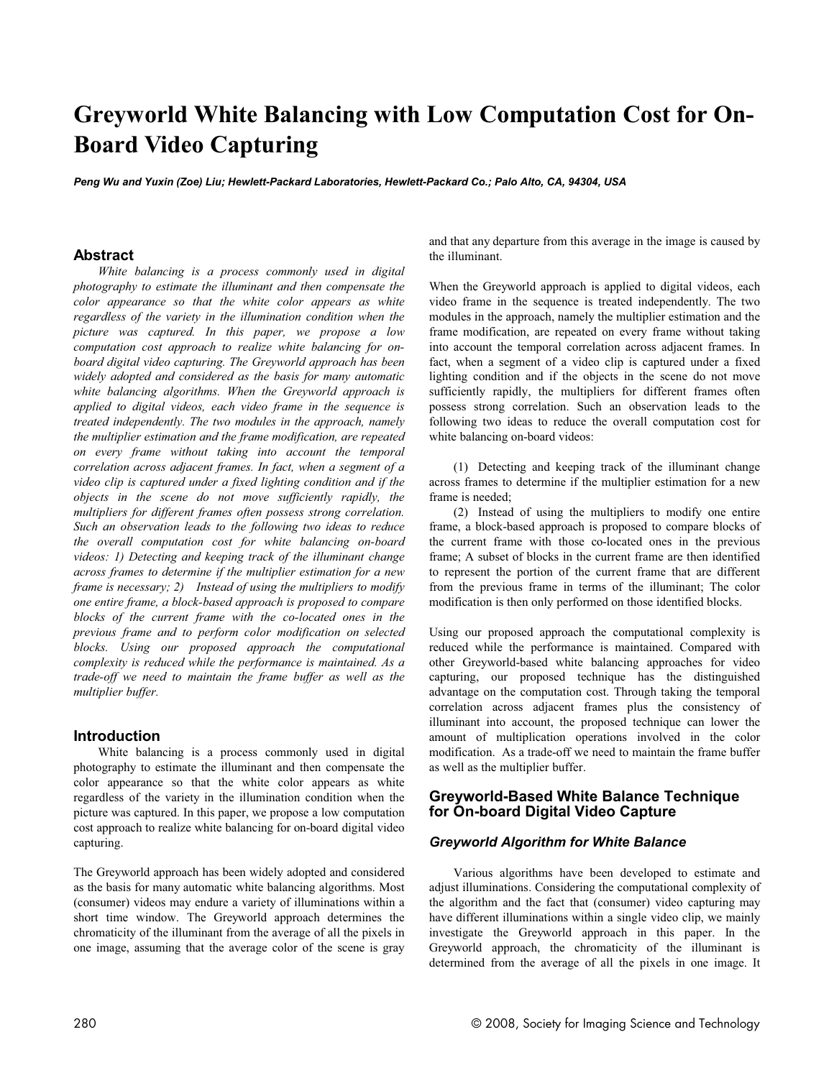# **Greyworld White Balancing with Low Computation Cost for On-Board Video Capturing**

*Peng Wu and Yuxin (Zoe) Liu; Hewlett-Packard Laboratories, Hewlett-Packard Co.; Palo Alto, CA, 94304, USA*

#### **Abstract**

*White balancing is a process commonly used in digital photography to estimate the illuminant and then compensate the color appearance so that the white color appears as white regardless of the variety in the illumination condition when the picture was captured. In this paper, we propose a low computation cost approach to realize white balancing for onboard digital video capturing. The Greyworld approach has been widely adopted and considered as the basis for many automatic white balancing algorithms. When the Greyworld approach is applied to digital videos, each video frame in the sequence is treated independently. The two modules in the approach, namely the multiplier estimation and the frame modification, are repeated on every frame without taking into account the temporal correlation across adjacent frames. In fact, when a segment of a video clip is captured under a fixed lighting condition and if the objects in the scene do not move sufficiently rapidly, the multipliers for different frames often possess strong correlation. Such an observation leads to the following two ideas to reduce the overall computation cost for white balancing on-board videos: 1) Detecting and keeping track of the illuminant change across frames to determine if the multiplier estimation for a new frame is necessary; 2) Instead of using the multipliers to modify one entire frame, a block-based approach is proposed to compare blocks of the current frame with the co-located ones in the previous frame and to perform color modification on selected blocks. Using our proposed approach the computational complexity is reduced while the performance is maintained. As a trade-off we need to maintain the frame buffer as well as the multiplier buffer.*

#### **Introduction**

White balancing is a process commonly used in digital photography to estimate the illuminant and then compensate the color appearance so that the white color appears as white regardless of the variety in the illumination condition when the picture was captured. In this paper, we propose a low computation cost approach to realize white balancing for on-board digital video capturing.

The Greyworld approach has been widely adopted and considered as the basis for many automatic white balancing algorithms. Most (consumer) videos may endure a variety of illuminations within a short time window. The Greyworld approach determines the chromaticity of the illuminant from the average of all the pixels in one image, assuming that the average color of the scene is gray

and that any departure from this average in the image is caused by the illuminant.

When the Greyworld approach is applied to digital videos, each video frame in the sequence is treated independently. The two modules in the approach, namely the multiplier estimation and the frame modification, are repeated on every frame without taking into account the temporal correlation across adjacent frames. In fact, when a segment of a video clip is captured under a fixed lighting condition and if the objects in the scene do not move sufficiently rapidly, the multipliers for different frames often possess strong correlation. Such an observation leads to the following two ideas to reduce the overall computation cost for white balancing on-board videos:

(1) Detecting and keeping track of the illuminant change across frames to determine if the multiplier estimation for a new frame is needed;

(2) Instead of using the multipliers to modify one entire frame, a block-based approach is proposed to compare blocks of the current frame with those co-located ones in the previous frame; A subset of blocks in the current frame are then identified to represent the portion of the current frame that are different from the previous frame in terms of the illuminant; The color modification is then only performed on those identified blocks.

Using our proposed approach the computational complexity is reduced while the performance is maintained. Compared with other Greyworld-based white balancing approaches for video capturing, our proposed technique has the distinguished advantage on the computation cost. Through taking the temporal correlation across adjacent frames plus the consistency of illuminant into account, the proposed technique can lower the amount of multiplication operations involved in the color modification. As a trade-off we need to maintain the frame buffer as well as the multiplier buffer.

## **Greyworld-Based White Balance Technique for On-board Digital Video Capture**

#### *Greyworld Algorithm for White Balance*

Various algorithms have been developed to estimate and adjust illuminations. Considering the computational complexity of the algorithm and the fact that (consumer) video capturing may have different illuminations within a single video clip, we mainly investigate the Greyworld approach in this paper. In the Greyworld approach, the chromaticity of the illuminant is determined from the average of all the pixels in one image. It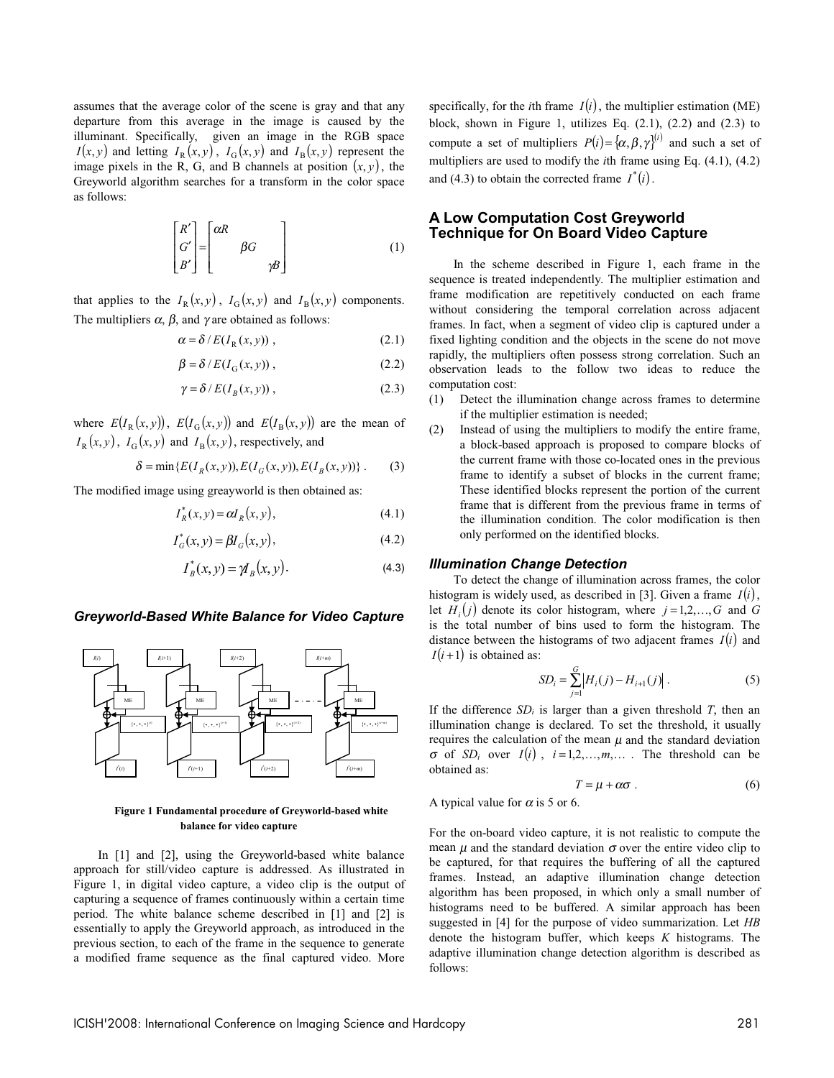assumes that the average color of the scene is gray and that any departure from this average in the image is caused by the illuminant. Specifically, given an image in the RGB space  $I(x, y)$  and letting  $I_R(x, y)$ ,  $I_G(x, y)$  and  $I_B(x, y)$  represent the image pixels in the R, G, and B channels at position  $(x, y)$ , the Greyworld algorithm searches for a transform in the color space as follows:

$$
\begin{bmatrix} R' \\ G' \\ B' \end{bmatrix} = \begin{bmatrix} \alpha R \\ \beta G \\ \gamma B \end{bmatrix}
$$
 (1)

that applies to the  $I_R(x, y)$ ,  $I_G(x, y)$  and  $I_R(x, y)$  components. The multipliers  $\alpha$ ,  $\beta$ , and  $\gamma$  are obtained as follows:

$$
\alpha = \delta / E(I_{R}(x, y)), \qquad (2.1)
$$

$$
\beta = \delta / E(I_{G}(x, y)), \qquad (2.2)
$$

$$
\gamma = \delta / E(I_B(x, y)), \qquad (2.3)
$$

where  $E(I_{\rm R}(x, y))$ ,  $E(I_{\rm G}(x, y))$  and  $E(I_{\rm R}(x, y))$  are the mean of  $I_{\rm R}(x, y)$ ,  $I_{\rm G}(x, y)$  and  $I_{\rm B}(x, y)$ , respectively, and

$$
\delta = \min \{ E(I_R(x, y)), E(I_G(x, y)), E(I_B(x, y)) \} .
$$
 (3)

The modified image using greayworld is then obtained as:

$$
I_R^*(x, y) = \alpha I_R(x, y),\tag{4.1}
$$

$$
I_G^*(x, y) = \beta I_G(x, y),
$$
\n(4.2)

$$
I_B^*(x, y) = \mathcal{Y}_B(x, y).
$$
 (4.3)

#### *Greyworld-Based White Balance for Video Capture*



**Figure 1 Fundamental procedure of Greyworld-based white balance for video capture**

In [1] and [2], using the Greyworld-based white balance approach for still/video capture is addressed. As illustrated in Figure 1, in digital video capture, a video clip is the output of capturing a sequence of frames continuously within a certain time period. The white balance scheme described in [1] and [2] is essentially to apply the Greyworld approach, as introduced in the previous section, to each of the frame in the sequence to generate a modified frame sequence as the final captured video. More

specifically, for the *i*th frame  $I(i)$ , the multiplier estimation (ME) block, shown in Figure 1, utilizes Eq.  $(2.1)$ ,  $(2.2)$  and  $(2.3)$  to compute a set of multipliers  $P(i) = {\alpha, \beta, \gamma}^{(i)}$  and such a set of multipliers are used to modify the *i*th frame using Eq. (4.1), (4.2) and (4.3) to obtain the corrected frame  $I^*(i)$ .

## **A Low Computation Cost Greyworld Technique for On Board Video Capture**

In the scheme described in Figure 1, each frame in the sequence is treated independently. The multiplier estimation and frame modification are repetitively conducted on each frame without considering the temporal correlation across adjacent frames. In fact, when a segment of video clip is captured under a fixed lighting condition and the objects in the scene do not move rapidly, the multipliers often possess strong correlation. Such an observation leads to the follow two ideas to reduce the computation cost:

- (1) Detect the illumination change across frames to determine if the multiplier estimation is needed;
- (2) Instead of using the multipliers to modify the entire frame, a block-based approach is proposed to compare blocks of the current frame with those co-located ones in the previous frame to identify a subset of blocks in the current frame; These identified blocks represent the portion of the current frame that is different from the previous frame in terms of the illumination condition. The color modification is then only performed on the identified blocks.

#### *Illumination Change Detection*

To detect the change of illumination across frames, the color histogram is widely used, as described in [3]. Given a frame  $I(i)$ , let  $H_i(j)$  denote its color histogram, where  $j = 1, 2, \ldots, G$  and G is the total number of bins used to form the histogram. The distance between the histograms of two adjacent frames  $I(i)$  and  $I(i+1)$  is obtained as:

$$
SD_i = \sum_{j=1}^{G} \left| H_i(j) - H_{i+1}(j) \right|.
$$
 (5)

If the difference  $SD_i$  is larger than a given threshold *T*, then an illumination change is declared. To set the threshold, it usually requires the calculation of the mean  $\mu$  and the standard deviation  $\sigma$  of *SD<sub>i</sub>* over *I*(*i*),  $i = 1, 2, ..., m, ...$  The threshold can be obtained as:

$$
T = \mu + \alpha \sigma \tag{6}
$$

A typical value for  $\alpha$  is 5 or 6.

For the on-board video capture, it is not realistic to compute the mean  $\mu$  and the standard deviation  $\sigma$  over the entire video clip to be captured, for that requires the buffering of all the captured frames. Instead, an adaptive illumination change detection algorithm has been proposed, in which only a small number of histograms need to be buffered. A similar approach has been suggested in [4] for the purpose of video summarization. Let *HB* denote the histogram buffer, which keeps *K* histograms. The adaptive illumination change detection algorithm is described as follows: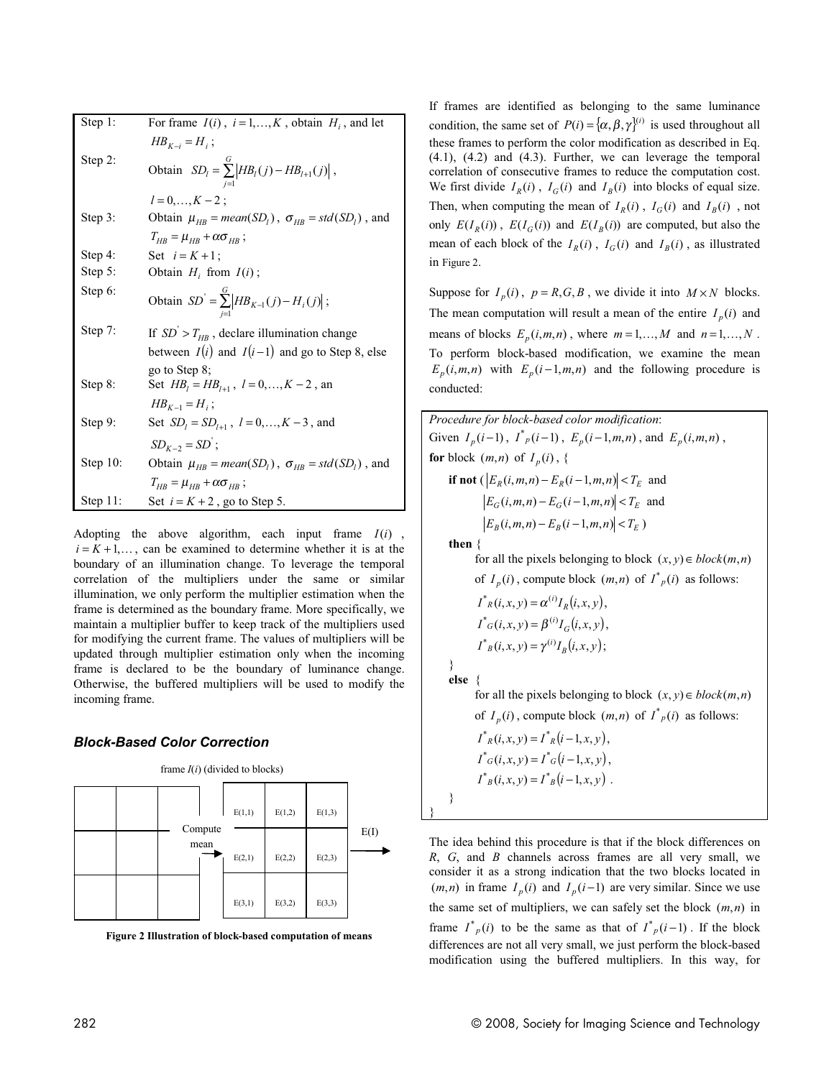| Step 1:     | For frame $I(i)$ , $i = 1,,K$ , obtain $H_i$ , and let           |
|-------------|------------------------------------------------------------------|
|             | $HB_{K-i} = H_i;$                                                |
| Step 2:     | Obtain $SD_l = \sum_{i=1}^{G}  HB_l(j) - HB_{l+1}(j) $ ,         |
|             | $l = 0, , K - 2$ :                                               |
| Step 3:     | Obtain $\mu_{HB} = mean(SD_l)$ , $\sigma_{HB} = std(SD_l)$ , and |
|             | $T_{HR} = \mu_{HR} + \alpha \sigma_{HR}$ ;                       |
| Step 4:     | Set $i = K + 1$ :                                                |
| Step 5:     | Obtain $H_i$ from $I(i)$ ;                                       |
| Step 6:     | Obtain $SD' = \sum_{i=1}^{G}  HB_{K-1}(j) - H_i(j) $ ;           |
| Step 7:     | If $SD' > T_{HR}$ , declare illumination change                  |
|             | between $I(i)$ and $I(i-1)$ and go to Step 8, else               |
|             | go to Step 8;                                                    |
| Step 8:     | Set $HB_l = HB_{l+1}$ , $l = 0,, K - 2$ , an                     |
|             | $HB_{k-1} = H_i$ ;                                               |
| Step 9:     | Set $SD_i = SD_{i+1}$ , $l = 0,, K - 3$ , and                    |
|             | $SD_{K-2} = SD$ ;                                                |
| Step $10$ : | Obtain $\mu_{HB} = mean(SD_l)$ , $\sigma_{HB} = std(SD_l)$ , and |
|             | $T_{\mu R} = \mu_{\mu R} + \alpha \sigma_{\mu R}$ ;              |
| Step $11$ : | Set $i = K + 2$ , go to Step 5.                                  |

Adopting the above algorithm, each input frame *I*(*i*) ,  $i = K + 1, \ldots$ , can be examined to determine whether it is at the boundary of an illumination change. To leverage the temporal correlation of the multipliers under the same or similar illumination, we only perform the multiplier estimation when the frame is determined as the boundary frame. More specifically, we maintain a multiplier buffer to keep track of the multipliers used for modifying the current frame. The values of multipliers will be updated through multiplier estimation only when the incoming frame is declared to be the boundary of luminance change. Otherwise, the buffered multipliers will be used to modify the incoming frame.

#### *Block-Based Color Correction*



**Figure 2 Illustration of block-based computation of means**

If frames are identified as belonging to the same luminance condition, the same set of  $P(i) = {\alpha, \beta, \gamma}^{(i)}$  is used throughout all these frames to perform the color modification as described in Eq. (4.1), (4.2) and (4.3). Further, we can leverage the temporal correlation of consecutive frames to reduce the computation cost. We first divide  $I_R(i)$ ,  $I_G(i)$  and  $I_R(i)$  into blocks of equal size. Then, when computing the mean of  $I_R(i)$ ,  $I_G(i)$  and  $I_B(i)$ , not only  $E(I_R(i))$ ,  $E(I_G(i))$  and  $E(I_B(i))$  are computed, but also the mean of each block of the  $I_R(i)$ ,  $I_G(i)$  and  $I_B(i)$ , as illustrated in Figure 2.

Suppose for  $I_n(i)$ ,  $p = R, G, B$ , we divide it into  $M \times N$  blocks. The mean computation will result a mean of the entire  $I_p(i)$  and means of blocks  $E_p(i,m,n)$ , where  $m=1,\ldots,M$  and  $n=1,\ldots,N$ . To perform block-based modification, we examine the mean  $E_p(i,m,n)$  with  $E_p(i-1,m,n)$  and the following procedure is conducted:

*Procedure for block-based color modification*: Given  $I_p(i-1)$ ,  $I^*_{p}(i-1)$ ,  $E_p(i-1,m,n)$ , and  $E_p(i,m,n)$ , **for** block  $(m, n)$  of  $I_n(i)$ , { **if not**  $(|E_R(i, m, n) - E_R(i - 1, m, n)| < T_F$  and  $|E_G(i,m,n) - E_G(i-1,m,n)| < T_E$  and  $\left| E_B(i, m, n) - E_B(i - 1, m, n) \right| < T_E$ ) **then** {

> for all the pixels belonging to block  $(x, y) \in block(m, n)$ of  $I_p(i)$ , compute block  $(m, n)$  of  $I^*_{p}(i)$  as follows:

$$
I^*_{R}(i, x, y) = \alpha^{(i)} I_R(i, x, y),
$$
  
\n
$$
I^*_{G}(i, x, y) = \beta^{(i)} I_G(i, x, y),
$$
  
\n
$$
I^*_{B}(i, x, y) = \gamma^{(i)} I_B(i, x, y);
$$

} **else** {

} }

for all the pixels belonging to block  $(x, y) \in block(m, n)$ of  $I_p(i)$ , compute block  $(m, n)$  of  $I^*_{p}(i)$  as follows:

$$
I^*_{R}(i, x, y) = I^*_{R}(i - 1, x, y),
$$
  
\n
$$
I^*_{G}(i, x, y) = I^*_{G}(i - 1, x, y),
$$
  
\n
$$
I^*_{B}(i, x, y) = I^*_{B}(i - 1, x, y).
$$

The idea behind this procedure is that if the block differences on *R*, *G*, and *B* channels across frames are all very small, we consider it as a strong indication that the two blocks located in  $(m,n)$  in frame  $I_p(i)$  and  $I_p(i-1)$  are very similar. Since we use the same set of multipliers, we can safely set the block (*m*,*n*) in frame  $I^*_{p}(i)$  to be the same as that of  $I^*_{p}(i-1)$ . If the block differences are not all very small, we just perform the block-based modification using the buffered multipliers. In this way, for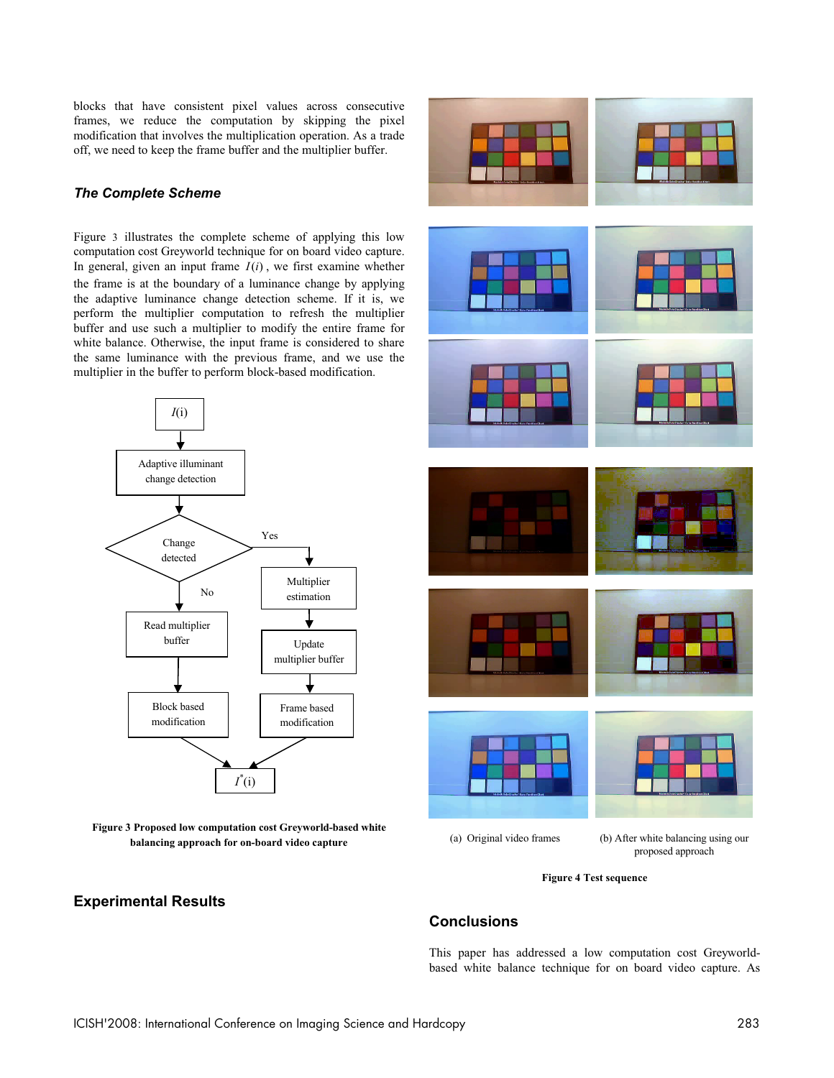blocks that have consistent pixel values across consecutive frames, we reduce the computation by skipping the pixel modification that involves the multiplication operation. As a trade off, we need to keep the frame buffer and the multiplier buffer.

## *The Complete Scheme*

Figure 3 illustrates the complete scheme of applying this low computation cost Greyworld technique for on board video capture. In general, given an input frame  $I(i)$ , we first examine whether the frame is at the boundary of a luminance change by applying the adaptive luminance change detection scheme. If it is, we perform the multiplier computation to refresh the multiplier buffer and use such a multiplier to modify the entire frame for white balance. Otherwise, the input frame is considered to share the same luminance with the previous frame, and we use the multiplier in the buffer to perform block-based modification.





# **Experimental Results**



#### **Figure 4 Test sequence**

# **Conclusions**

This paper has addressed a low computation cost Greyworldbased white balance technique for on board video capture. As